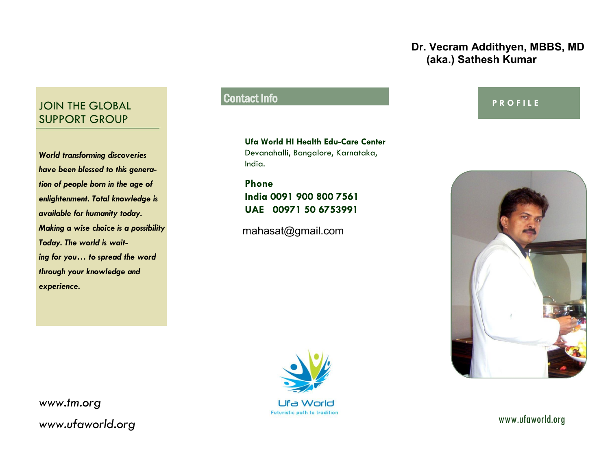### **Dr. Vecram Addithyen, MBBS, MD (aka.) Sathesh Kumar**

# JOIN THE GLOBAL SUPPORT GROUP

*World transforming discoveries have been blessed to this generation of people born in the age of enlightenment. Total knowledge is available for humanity today. Making a wise choice is a possibility Today. The world is waiting for you… to spread the word through your knowledge and experience.* 

# Contact Info

**Ufa World HI Health Edu-Care Center** Devanahalli, Bangalore, Karnataka, India.

**Phone India 0091 900 800 7561 UAE 00971 50 6753991**

mahasat@gmail.com



## **P R O F I L E**



*www.tm.org* www.ufaworld.org *www.ufaworld.org*